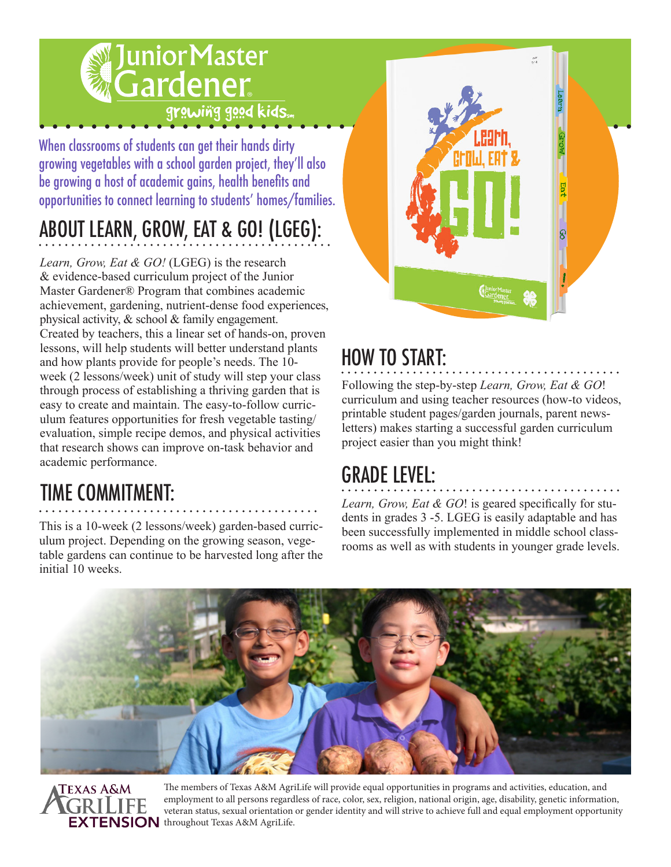## **JuniorMaster** Gardener grawing good kids...

When classrooms of students can get their hands dirty growing vegetables with a school garden project, they'll also be growing a host of academic gains, health benefits and opportunities to connect learning to students' homes/families.

# ABOUT LEARN, GROW, EAT & GO! (LGEG):

*Learn, Grow, Eat & GO!* (LGEG) is the research & evidence-based curriculum project of the Junior Master Gardener® Program that combines academic achievement, gardening, nutrient-dense food experiences, physical activity, & school & family engagement. Created by teachers, this a linear set of hands-on, proven lessons, will help students will better understand plants and how plants provide for people's needs. The 10 week (2 lessons/week) unit of study will step your class through process of establishing a thriving garden that is easy to create and maintain. The easy-to-follow curriculum features opportunities for fresh vegetable tasting/ evaluation, simple recipe demos, and physical activities that research shows can improve on-task behavior and academic performance.

## TIME COMMITMENT:

This is a 10-week (2 lessons/week) garden-based curriculum project. Depending on the growing season, vegetable gardens can continue to be harvested long after the initial 10 weeks.



### HOW TO START:

Following the step-by-step *Learn, Grow, Eat & GO*! curriculum and using teacher resources (how-to videos, printable student pages/garden journals, parent newsletters) makes starting a successful garden curriculum project easier than you might think!

### GRADE LEVEL:

*Learn, Grow, Eat & GO*! is geared specifically for students in grades 3 -5. LGEG is easily adaptable and has been successfully implemented in middle school classrooms as well as with students in younger grade levels.





The members of Texas A&M AgriLife will provide equal opportunities in programs and activities, education, and employment to all persons regardless of race, color, sex, religion, national origin, age, disability, genetic information, veteran status, sexual orientation or gender identity and will strive to achieve full and equal employment opportunity **EXTENSION** throughout Texas A&M AgriLife.